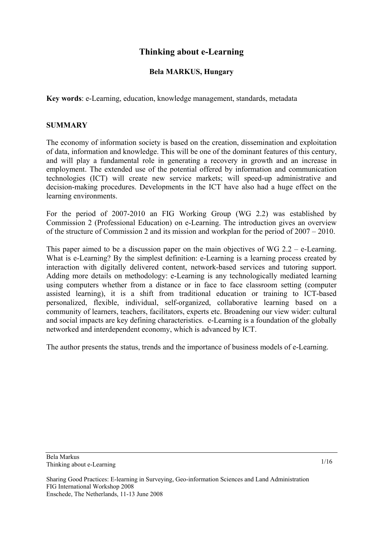# **Thinking about e-Learning**

#### **Bela MARKUS, Hungary**

**Key words**: e-Learning, education, knowledge management, standards, metadata

#### **SUMMARY**

The economy of information society is based on the creation, dissemination and exploitation of data, information and knowledge. This will be one of the dominant features of this century, and will play a fundamental role in generating a recovery in growth and an increase in employment. The extended use of the potential offered by information and communication technologies (ICT) will create new service markets; will speed-up administrative and decision-making procedures. Developments in the ICT have also had a huge effect on the learning environments.

For the period of 2007-2010 an FIG Working Group (WG 2.2) was established by Commission 2 (Professional Education) on e-Learning. The introduction gives an overview of the structure of Commission 2 and its mission and workplan for the period of 2007 – 2010.

This paper aimed to be a discussion paper on the main objectives of WG  $2.2 - e$ -Learning. What is e-Learning? By the simplest definition: e-Learning is a learning process created by interaction with digitally delivered content, network-based services and tutoring support. Adding more details on methodology: e-Learning is any technologically mediated learning using computers whether from a distance or in face to face classroom setting (computer assisted learning), it is a shift from traditional education or training to ICT-based personalized, flexible, individual, self-organized, collaborative learning based on a community of learners, teachers, facilitators, experts etc. Broadening our view wider: cultural and social impacts are key defining characteristics. e-Learning is a foundation of the globally networked and interdependent economy, which is advanced by ICT.

The author presents the status, trends and the importance of business models of e-Learning.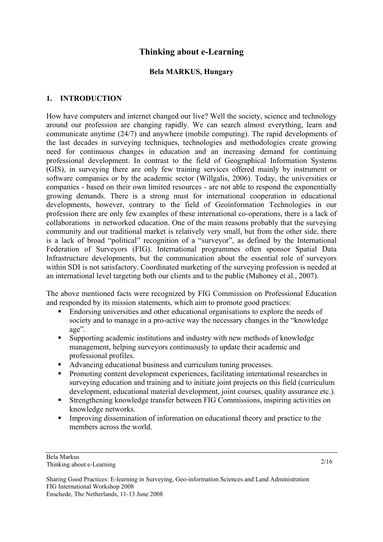# **Thinking about e-Learning**

#### **Bela MARKUS, Hungary**

## **1. INTRODUCTION**

How have computers and internet changed our live? Well the society, science and technology around our profession are changing rapidly. We can search almost everything, learn and communicate anytime (24/7) and anywhere (mobile computing). The rapid developments of the last decades in surveying techniques, technologies and methodologies create growing need for continuous changes in education and an increasing demand for continuing professional development. In contrast to the field of Geographical Information Systems (GIS), in surveying there are only few training services offered mainly by instrument or software companies or by the academic sector (Willgalis, 2006). Today, the universities or companies - based on their own limited resources - are not able to respond the exponentially growing demands. There is a strong must for international cooperation in educational developments, however, contrary to the field of Geoinformation Technologies in our profession there are only few examples of these international co-operations, there is a lack of collaborations in networked education. One of the main reasons probably that the surveying community and our traditional market is relatively very small, but from the other side, there is a lack of broad "political" recognition of a "surveyor", as defined by the International Federation of Surveyors (FIG). International programmes often sponsor Spatial Data Infrastructure developments, but the communication about the essential role of surveyors within SDI is not satisfactory. Coordinated marketing of the surveying profession is needed at an international level targeting both our clients and to the public (Mahoney et al., 2007).

The above mentioned facts were recognized by FIG Commission on Professional Education and responded by its mission statements, which aim to promote good practices:

- Endorsing universities and other educational organisations to explore the needs of society and to manage in a pro-active way the necessary changes in the "knowledge age".
- Supporting academic institutions and industry with new methods of knowledge management, helping surveyors continuously to update their academic and professional profiles.
- Advancing educational business and curriculum tuning processes.
- Promoting content development experiences, facilitating international researches in surveying education and training and to initiate joint projects on this field (curriculum development, educational material development, joint courses, quality assurance etc.).
- Strengthening knowledge transfer between FIG Commissions, inspiring activities on knowledge networks.
- Improving dissemination of information on educational theory and practice to the members across the world.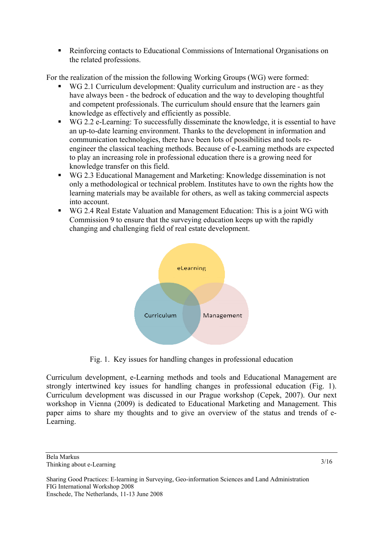Reinforcing contacts to Educational Commissions of International Organisations on the related professions.

For the realization of the mission the following Working Groups (WG) were formed:

- WG 2.1 Curriculum development: Quality curriculum and instruction are as they have always been - the bedrock of education and the way to developing thoughtful and competent professionals. The curriculum should ensure that the learners gain knowledge as effectively and efficiently as possible.
- WG 2.2 e-Learning: To successfully disseminate the knowledge, it is essential to have an up-to-date learning environment. Thanks to the development in information and communication technologies, there have been lots of possibilities and tools reengineer the classical teaching methods. Because of e-Learning methods are expected to play an increasing role in professional education there is a growing need for knowledge transfer on this field.
- WG 2.3 Educational Management and Marketing: Knowledge dissemination is not only a methodological or technical problem. Institutes have to own the rights how the learning materials may be available for others, as well as taking commercial aspects into account.
- WG 2.4 Real Estate Valuation and Management Education: This is a joint WG with Commission 9 to ensure that the surveying education keeps up with the rapidly changing and challenging field of real estate development.



Fig. 1. Key issues for handling changes in professional education

Curriculum development, e-Learning methods and tools and Educational Management are strongly intertwined key issues for handling changes in professional education (Fig. 1). Curriculum development was discussed in our Prague workshop (Cepek, 2007). Our next workshop in Vienna (2009) is dedicated to Educational Marketing and Management. This paper aims to share my thoughts and to give an overview of the status and trends of e-Learning.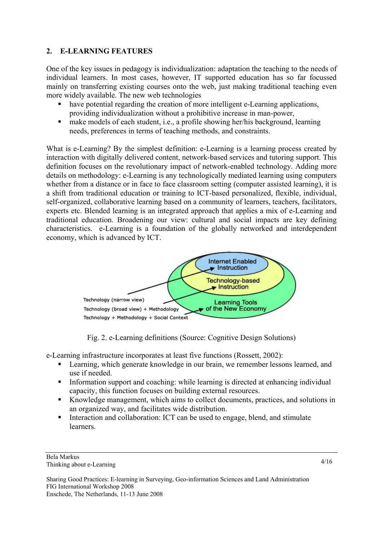# **2. E-LEARNING FEATURES**

One of the key issues in pedagogy is individualization: adaptation the teaching to the needs of individual learners. In most cases, however, IT supported education has so far focussed mainly on transferring existing courses onto the web, just making traditional teaching even more widely available. The new web technologies

- have potential regarding the creation of more intelligent e-Learning applications, providing individualization without a prohibitive increase in man-power,
- make models of each student, i.e., a profile showing her/his background, learning needs, preferences in terms of teaching methods, and constraints.

What is e-Learning? By the simplest definition: e-Learning is a learning process created by interaction with digitally delivered content, network-based services and tutoring support. This definition focuses on the revolutionary impact of network-enabled technology. Adding more details on methodology: e-Learning is any technologically mediated learning using computers whether from a distance or in face to face classroom setting (computer assisted learning), it is a shift from traditional education or training to ICT-based personalized, flexible, individual, self-organized, collaborative learning based on a community of learners, teachers, facilitators, experts etc. Blended learning is an integrated approach that applies a mix of e-Learning and traditional education. Broadening our view: cultural and social impacts are key defining characteristics. e-Learning is a foundation of the globally networked and interdependent economy, which is advanced by ICT.



Fig. 2. e-Learning definitions (Source: Cognitive Design Solutions)

e-Learning infrastructure incorporates at least five functions (Rossett, 2002):

- **EXECUTE:** Learning, which generate knowledge in our brain, we remember lessons learned, and use if needed.
- Information support and coaching: while learning is directed at enhancing individual capacity, this function focuses on building external resources.
- Knowledge management, which aims to collect documents, practices, and solutions in an organized way, and facilitates wide distribution.
- Interaction and collaboration: ICT can be used to engage, blend, and stimulate learners.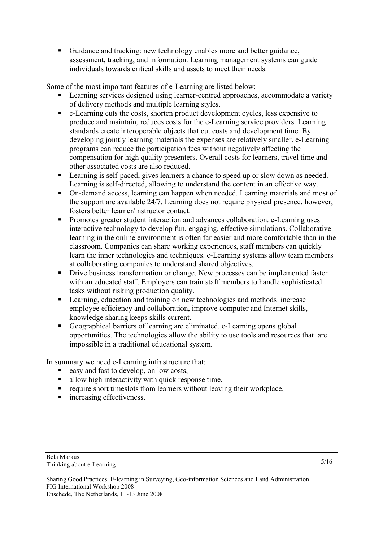Guidance and tracking: new technology enables more and better guidance, assessment, tracking, and information. Learning management systems can guide individuals towards critical skills and assets to meet their needs.

Some of the most important features of e-Learning are listed below:

- **EXECUTE:** Learning services designed using learner-centred approaches, accommodate a variety of delivery methods and multiple learning styles.
- e-Learning cuts the costs, shorten product development cycles, less expensive to produce and maintain, reduces costs for the e-Learning service providers. Learning standards create interoperable objects that cut costs and development time. By developing jointly learning materials the expenses are relatively smaller. e-Learning programs can reduce the participation fees without negatively affecting the compensation for high quality presenters. Overall costs for learners, travel time and other associated costs are also reduced.
- **Example 1** Learning is self-paced, gives learners a chance to speed up or slow down as needed. Learning is self-directed, allowing to understand the content in an effective way.
- On-demand access, learning can happen when needed. Learning materials and most of the support are available 24/7. Learning does not require physical presence, however, fosters better learner/instructor contact.
- **Promotes greater student interaction and advances collaboration. e-Learning uses** interactive technology to develop fun, engaging, effective simulations. Collaborative learning in the online environment is often far easier and more comfortable than in the classroom. Companies can share working experiences, staff members can quickly learn the inner technologies and techniques. e-Learning systems allow team members at collaborating companies to understand shared objectives.
- Drive business transformation or change. New processes can be implemented faster with an educated staff. Employers can train staff members to handle sophisticated tasks without risking production quality.
- **Example, Equation and training on new technologies and methods increase** employee efficiency and collaboration, improve computer and Internet skills, knowledge sharing keeps skills current.
- Geographical barriers of learning are eliminated. e-Learning opens global opportunities. The technologies allow the ability to use tools and resources that are impossible in a traditional educational system.

In summary we need e-Learning infrastructure that:

- easy and fast to develop, on low costs,
- allow high interactivity with quick response time,
- $\blacksquare$  require short timeslots from learners without leaving their workplace,
- **n** increasing effectiveness.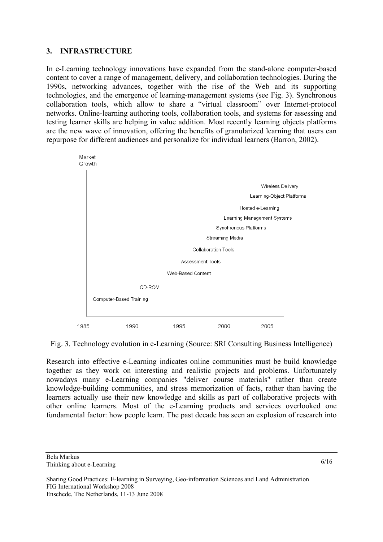## **3. INFRASTRUCTURE**

In e-Learning technology innovations have expanded from the stand-alone computer-based content to cover a range of management, delivery, and collaboration technologies. During the 1990s, networking advances, together with the rise of the Web and its supporting technologies, and the emergence of learning-management systems (see Fig. 3). Synchronous collaboration tools, which allow to share a "virtual classroom" over Internet-protocol networks. Online-learning authoring tools, collaboration tools, and systems for assessing and testing learner skills are helping in value addition. Most recently learning objects platforms are the new wave of innovation, offering the benefits of granularized learning that users can repurpose for different audiences and personalize for individual learners (Barron, 2002).



Fig. 3. Technology evolution in e-Learning (Source: SRI Consulting Business Intelligence)

Research into effective e-Learning indicates online communities must be build knowledge together as they work on interesting and realistic projects and problems. Unfortunately nowadays many e-Learning companies "deliver course materials" rather than create knowledge-building communities, and stress memorization of facts, rather than having the learners actually use their new knowledge and skills as part of collaborative projects with other online learners. Most of the e-Learning products and services overlooked one fundamental factor: how people learn. The past decade has seen an explosion of research into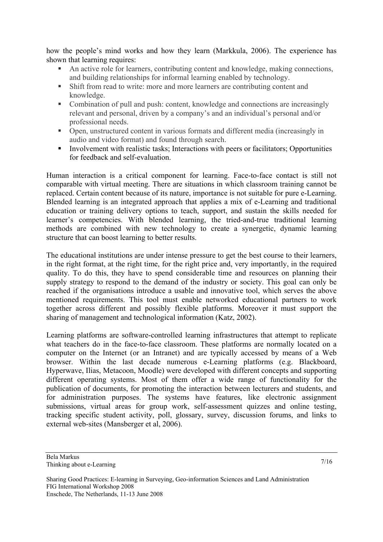how the people's mind works and how they learn (Markkula, 2006). The experience has shown that learning requires:

- An active role for learners, contributing content and knowledge, making connections, and building relationships for informal learning enabled by technology.
- Shift from read to write: more and more learners are contributing content and knowledge.
- Combination of pull and push: content, knowledge and connections are increasingly relevant and personal, driven by a company's and an individual's personal and/or professional needs.
- Open, unstructured content in various formats and different media (increasingly in audio and video format) and found through search.
- Involvement with realistic tasks; Interactions with peers or facilitators; Opportunities for feedback and self-evaluation.

Human interaction is a critical component for learning. Face-to-face contact is still not comparable with virtual meeting. There are situations in which classroom training cannot be replaced. Certain content because of its nature, importance is not suitable for pure e-Learning. Blended learning is an integrated approach that applies a mix of e-Learning and traditional education or training delivery options to teach, support, and sustain the skills needed for learner's competencies. With blended learning, the tried-and-true traditional learning methods are combined with new technology to create a synergetic, dynamic learning structure that can boost learning to better results.

The educational institutions are under intense pressure to get the best course to their learners, in the right format, at the right time, for the right price and, very importantly, in the required quality. To do this, they have to spend considerable time and resources on planning their supply strategy to respond to the demand of the industry or society. This goal can only be reached if the organisations introduce a usable and innovative tool, which serves the above mentioned requirements. This tool must enable networked educational partners to work together across different and possibly flexible platforms. Moreover it must support the sharing of management and technological information (Katz, 2002).

Learning platforms are software-controlled learning infrastructures that attempt to replicate what teachers do in the face-to-face classroom. These platforms are normally located on a computer on the Internet (or an Intranet) and are typically accessed by means of a Web browser. Within the last decade numerous e-Learning platforms (e.g. Blackboard, Hyperwave, Ilias, Metacoon, Moodle) were developed with different concepts and supporting different operating systems. Most of them offer a wide range of functionality for the publication of documents, for promoting the interaction between lecturers and students, and for administration purposes. The systems have features, like electronic assignment submissions, virtual areas for group work, self-assessment quizzes and online testing, tracking specific student activity, poll, glossary, survey, discussion forums, and links to external web-sites (Mansberger et al, 2006).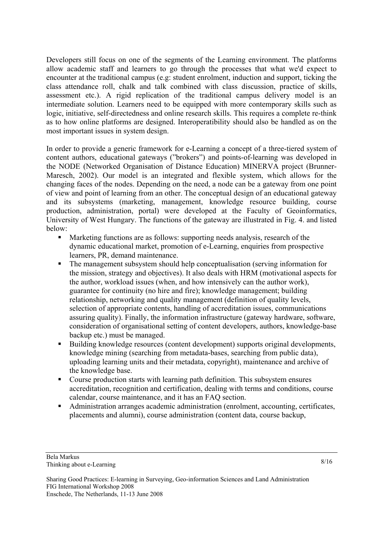Developers still focus on one of the segments of the Learning environment. The platforms allow academic staff and learners to go through the processes that what we'd expect to encounter at the traditional campus (e.g: student enrolment, induction and support, ticking the class attendance roll, chalk and talk combined with class discussion, practice of skills, assessment etc.). A rigid replication of the traditional campus delivery model is an intermediate solution. Learners need to be equipped with more contemporary skills such as logic, initiative, self-directedness and online research skills. This requires a complete re-think as to how online platforms are designed. Interoperatibility should also be handled as on the most important issues in system design.

In order to provide a generic framework for e-Learning a concept of a three-tiered system of content authors, educational gateways ("brokers") and points-of-learning was developed in the NODE (Networked Organisation of Distance Education) MINERVA project (Brunner-Maresch, 2002). Our model is an integrated and flexible system, which allows for the changing faces of the nodes. Depending on the need, a node can be a gateway from one point of view and point of learning from an other. The conceptual design of an educational gateway and its subsystems (marketing, management, knowledge resource building, course production, administration, portal) were developed at the Faculty of Geoinformatics, University of West Hungary. The functions of the gateway are illustrated in Fig. 4. and listed below:

- Marketing functions are as follows: supporting needs analysis, research of the dynamic educational market, promotion of e-Learning, enquiries from prospective learners, PR, demand maintenance.
- The management subsystem should help conceptualisation (serving information for the mission, strategy and objectives). It also deals with HRM (motivational aspects for the author, workload issues (when, and how intensively can the author work), guarantee for continuity (no hire and fire); knowledge management; building relationship, networking and quality management (definition of quality levels, selection of appropriate contents, handling of accreditation issues, communications assuring quality). Finally, the information infrastructure (gateway hardware, software, consideration of organisational setting of content developers, authors, knowledge-base backup etc.) must be managed.
- Building knowledge resources (content development) supports original developments, knowledge mining (searching from metadata-bases, searching from public data), uploading learning units and their metadata, copyright), maintenance and archive of the knowledge base.
- Course production starts with learning path definition. This subsystem ensures accreditation, recognition and certification, dealing with terms and conditions, course calendar, course maintenance, and it has an FAQ section.
- Administration arranges academic administration (enrolment, accounting, certificates, placements and alumni), course administration (content data, course backup,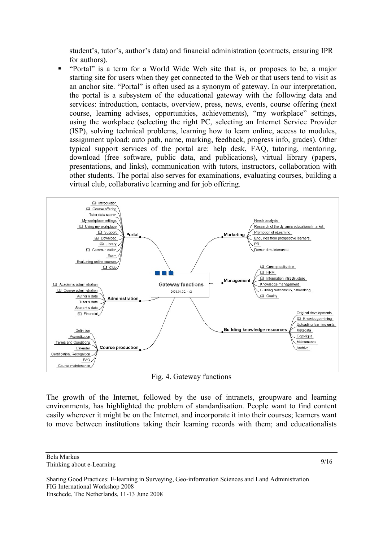student's, tutor's, author's data) and financial administration (contracts, ensuring IPR for authors).

 "Portal" is a term for a World Wide Web site that is, or proposes to be, a major starting site for users when they get connected to the Web or that users tend to visit as an anchor site. "Portal" is often used as a synonym of gateway. In our interpretation, the portal is a subsystem of the educational gateway with the following data and services: introduction, contacts, overview, press, news, events, course offering (next course, learning advises, opportunities, achievements), "my workplace" settings, using the workplace (selecting the right PC, selecting an Internet Service Provider (ISP), solving technical problems, learning how to learn online, access to modules, assignment upload: auto path, name, marking, feedback, progress info, grades). Other typical support services of the portal are: help desk, FAQ, tutoring, mentoring, download (free software, public data, and publications), virtual library (papers, presentations, and links), communication with tutors, instructors, collaboration with other students. The portal also serves for examinations, evaluating courses, building a virtual club, collaborative learning and for job offering.



Fig. 4. Gateway functions

The growth of the Internet, followed by the use of intranets, groupware and learning environments, has highlighted the problem of standardisation. People want to find content easily wherever it might be on the Internet, and incorporate it into their courses; learners want to move between institutions taking their learning records with them; and educationalists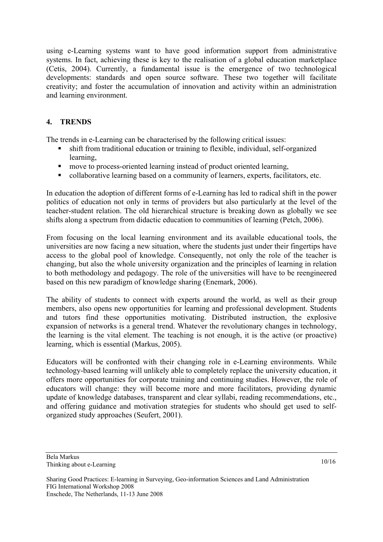using e-Learning systems want to have good information support from administrative systems. In fact, achieving these is key to the realisation of a global education marketplace (Cetis, 2004). Currently, a fundamental issue is the emergence of two technological developments: standards and open source software. These two together will facilitate creativity; and foster the accumulation of innovation and activity within an administration and learning environment.

## **4. TRENDS**

The trends in e-Learning can be characterised by the following critical issues:

- shift from traditional education or training to flexible, individual, self-organized learning,
- **n** move to process-oriented learning instead of product oriented learning,
- collaborative learning based on a community of learners, experts, facilitators, etc.

In education the adoption of different forms of e-Learning has led to radical shift in the power politics of education not only in terms of providers but also particularly at the level of the teacher-student relation. The old hierarchical structure is breaking down as globally we see shifts along a spectrum from didactic education to communities of learning (Petch, 2006).

From focusing on the local learning environment and its available educational tools, the universities are now facing a new situation, where the students just under their fingertips have access to the global pool of knowledge. Consequently, not only the role of the teacher is changing, but also the whole university organization and the principles of learning in relation to both methodology and pedagogy. The role of the universities will have to be reengineered based on this new paradigm of knowledge sharing (Enemark, 2006).

The ability of students to connect with experts around the world, as well as their group members, also opens new opportunities for learning and professional development. Students and tutors find these opportunities motivating. Distributed instruction, the explosive expansion of networks is a general trend. Whatever the revolutionary changes in technology, the learning is the vital element. The teaching is not enough, it is the active (or proactive) learning, which is essential (Markus, 2005).

Educators will be confronted with their changing role in e-Learning environments. While technology-based learning will unlikely able to completely replace the university education, it offers more opportunities for corporate training and continuing studies. However, the role of educators will change: they will become more and more facilitators, providing dynamic update of knowledge databases, transparent and clear syllabi, reading recommendations, etc., and offering guidance and motivation strategies for students who should get used to selforganized study approaches (Seufert, 2001).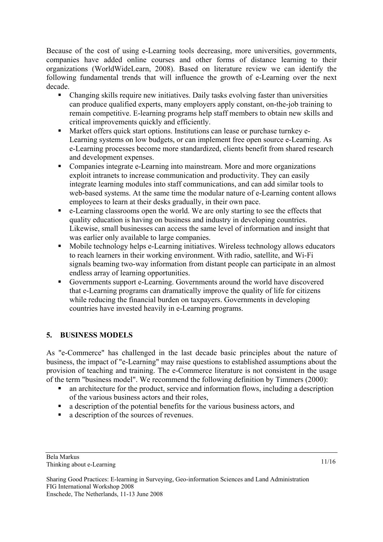Because of the cost of using e-Learning tools decreasing, more universities, governments, companies have added online courses and other forms of distance learning to their organizations (WorldWideLearn, 2008). Based on literature review we can identify the following fundamental trends that will influence the growth of e-Learning over the next decade.

- Changing skills require new initiatives. Daily tasks evolving faster than universities can produce qualified experts, many employers apply constant, on-the-job training to remain competitive. E-learning programs help staff members to obtain new skills and critical improvements quickly and efficiently.
- **Market offers quick start options. Institutions can lease or purchase turnkey e-**Learning systems on low budgets, or can implement free open source e-Learning. As e-Learning processes become more standardized, clients benefit from shared research and development expenses.
- Companies integrate e-Learning into mainstream. More and more organizations exploit intranets to increase communication and productivity. They can easily integrate learning modules into staff communications, and can add similar tools to web-based systems. At the same time the modular nature of e-Learning content allows employees to learn at their desks gradually, in their own pace.
- $\bullet$  e-Learning classrooms open the world. We are only starting to see the effects that quality education is having on business and industry in developing countries. Likewise, small businesses can access the same level of information and insight that was earlier only available to large companies.
- Mobile technology helps e-Learning initiatives. Wireless technology allows educators to reach learners in their working environment. With radio, satellite, and Wi-Fi signals beaming two-way information from distant people can participate in an almost endless array of learning opportunities.
- Governments support e-Learning. Governments around the world have discovered that e-Learning programs can dramatically improve the quality of life for citizens while reducing the financial burden on taxpayers. Governments in developing countries have invested heavily in e-Learning programs.

# **5. BUSINESS MODELS**

As "e-Commerce" has challenged in the last decade basic principles about the nature of business, the impact of "e-Learning" may raise questions to established assumptions about the provision of teaching and training. The e-Commerce literature is not consistent in the usage of the term "business model". We recommend the following definition by Timmers (2000):

- an architecture for the product, service and information flows, including a description of the various business actors and their roles,
- a description of the potential benefits for the various business actors, and
- a description of the sources of revenues.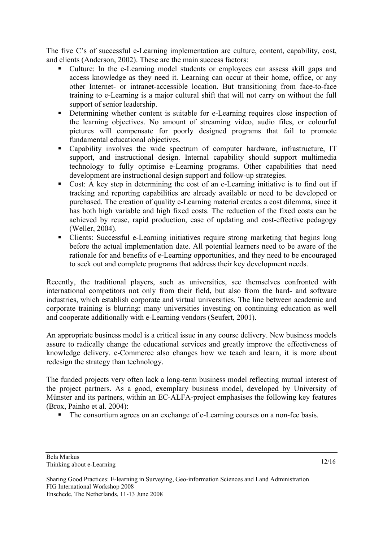The five C's of successful e-Learning implementation are culture, content, capability, cost, and clients (Anderson, 2002). These are the main success factors:

- Culture: In the e-Learning model students or employees can assess skill gaps and access knowledge as they need it. Learning can occur at their home, office, or any other Internet- or intranet-accessible location. But transitioning from face-to-face training to e-Learning is a major cultural shift that will not carry on without the full support of senior leadership.
- Determining whether content is suitable for e-Learning requires close inspection of the learning objectives. No amount of streaming video, audio files, or colourful pictures will compensate for poorly designed programs that fail to promote fundamental educational objectives.
- Capability involves the wide spectrum of computer hardware, infrastructure, IT support, and instructional design. Internal capability should support multimedia technology to fully optimise e-Learning programs. Other capabilities that need development are instructional design support and follow-up strategies.
- Cost: A key step in determining the cost of an e-Learning initiative is to find out if tracking and reporting capabilities are already available or need to be developed or purchased. The creation of quality e-Learning material creates a cost dilemma, since it has both high variable and high fixed costs. The reduction of the fixed costs can be achieved by reuse, rapid production, ease of updating and cost-effective pedagogy (Weller, 2004).
- Clients: Successful e-Learning initiatives require strong marketing that begins long before the actual implementation date. All potential learners need to be aware of the rationale for and benefits of e-Learning opportunities, and they need to be encouraged to seek out and complete programs that address their key development needs.

Recently, the traditional players, such as universities, see themselves confronted with international competitors not only from their field, but also from the hard- and software industries, which establish corporate and virtual universities. The line between academic and corporate training is blurring: many universities investing on continuing education as well and cooperate additionally with e-Learning vendors (Seufert, 2001).

An appropriate business model is a critical issue in any course delivery. New business models assure to radically change the educational services and greatly improve the effectiveness of knowledge delivery. e-Commerce also changes how we teach and learn, it is more about redesign the strategy than technology.

The funded projects very often lack a long-term business model reflecting mutual interest of the project partners. As a good, exemplary business model, developed by University of Münster and its partners, within an EC-ALFA-project emphasises the following key features (Brox, Painho et al. 2004):

The consortium agrees on an exchange of e-Learning courses on a non-fee basis.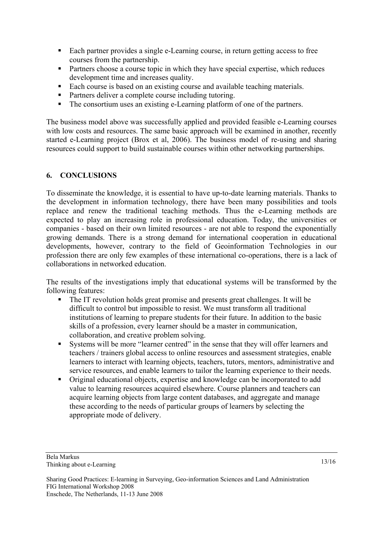- Each partner provides a single e-Learning course, in return getting access to free courses from the partnership.
- **Partners choose a course topic in which they have special expertise, which reduces** development time and increases quality.
- Each course is based on an existing course and available teaching materials.
- Partners deliver a complete course including tutoring.
- The consortium uses an existing e-Learning platform of one of the partners.

The business model above was successfully applied and provided feasible e-Learning courses with low costs and resources. The same basic approach will be examined in another, recently started e-Learning project (Brox et al, 2006). The business model of re-using and sharing resources could support to build sustainable courses within other networking partnerships.

#### **6. CONCLUSIONS**

To disseminate the knowledge, it is essential to have up-to-date learning materials. Thanks to the development in information technology, there have been many possibilities and tools replace and renew the traditional teaching methods. Thus the e-Learning methods are expected to play an increasing role in professional education. Today, the universities or companies - based on their own limited resources - are not able to respond the exponentially growing demands. There is a strong demand for international cooperation in educational developments, however, contrary to the field of Geoinformation Technologies in our profession there are only few examples of these international co-operations, there is a lack of collaborations in networked education.

The results of the investigations imply that educational systems will be transformed by the following features:

- The IT revolution holds great promise and presents great challenges. It will be difficult to control but impossible to resist. We must transform all traditional institutions of learning to prepare students for their future. In addition to the basic skills of a profession, every learner should be a master in communication, collaboration, and creative problem solving.
- Systems will be more "learner centred" in the sense that they will offer learners and teachers / trainers global access to online resources and assessment strategies, enable learners to interact with learning objects, teachers, tutors, mentors, administrative and service resources, and enable learners to tailor the learning experience to their needs.
- Original educational objects, expertise and knowledge can be incorporated to add value to learning resources acquired elsewhere. Course planners and teachers can acquire learning objects from large content databases, and aggregate and manage these according to the needs of particular groups of learners by selecting the appropriate mode of delivery.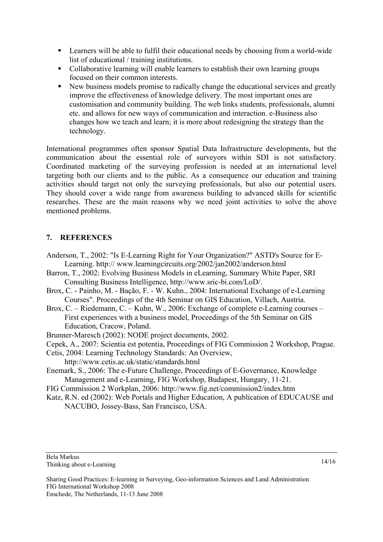- Learners will be able to fulfil their educational needs by choosing from a world-wide list of educational / training institutions.
- Collaborative learning will enable learners to establish their own learning groups focused on their common interests.
- New business models promise to radically change the educational services and greatly improve the effectiveness of knowledge delivery. The most important ones are customisation and community building. The web links students, professionals, alumni etc. and allows for new ways of communication and interaction. e-Business also changes how we teach and learn; it is more about redesigning the strategy than the technology.

International programmes often sponsor Spatial Data Infrastructure developments, but the communication about the essential role of surveyors within SDI is not satisfactory. Coordinated marketing of the surveying profession is needed at an international level targeting both our clients and to the public. As a consequence our education and training activities should target not only the surveying professionals, but also our potential users. They should cover a wide range from awareness building to advanced skills for scientific researches. These are the main reasons why we need joint activities to solve the above mentioned problems.

# **7. REFERENCES**

- Anderson, T., 2002: "Is E-Learning Right for Your Organization?" ASTD's Source for E-Learning. http:// www.learningcircuits.org/2002/jan2002/anderson.html
- Barron, T., 2002: Evolving Business Models in eLearning, Summary White Paper, SRI Consulting Business Intelligence, http://www.sric-bi.com/LoD/.
- Brox, C. Painho, M. Bação, F. W. Kuhn., 2004: International Exchange of e-Learning Courses". Proceedings of the 4th Seminar on GIS Education, Villach, Austria.
- Brox, C. Riedemann, C. Kuhn, W., 2006: Exchange of complete e-Learning courses First experiences with a business model, Proceedings of the 5th Seminar on GIS Education, Cracow, Poland.
- Brunner-Maresch (2002): NODE project documents, 2002.
- Cepek, A., 2007: Scientia est potentia, Proceedings of FIG Commission 2 Workshop, Prague.
- Cetis, 2004: Learning Technology Standards: An Overview,
	- http://www.cetis.ac.uk/static/standards.html
- Enemark, S., 2006: The e-Future Challenge, Proceedings of E-Governance, Knowledge Management and e-Learning, FIG Workshop, Budapest, Hungary, 11-21.
- FIG Commission 2 Workplan, 2006: http://www.fig.net/commission2/index.htm
- Katz, R.N. ed (2002): Web Portals and Higher Education, A publication of EDUCAUSE and NACUBO, Jossey-Bass, San Francisco, USA.

Sharing Good Practices: E-learning in Surveying, Geo-information Sciences and Land Administration FIG International Workshop 2008 Enschede, The Netherlands, 11-13 June 2008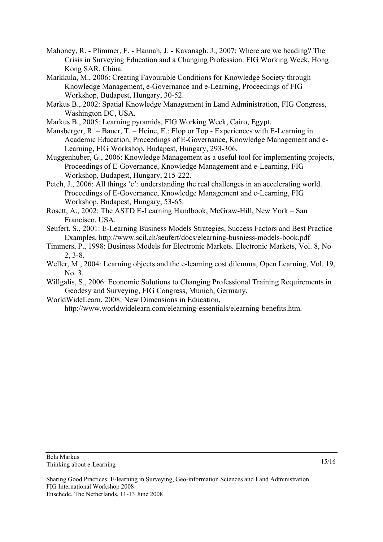- Mahoney, R. Plimmer, F. Hannah, J. Kavanagh. J., 2007: Where are we heading? The Crisis in Surveying Education and a Changing Profession. FIG Working Week, Hong Kong SAR, China.
- Markkula, M., 2006: Creating Favourable Conditions for Knowledge Society through Knowledge Management, e-Governance and e-Learning, Proceedings of FIG Workshop, Budapest, Hungary, 30-52.
- Markus B., 2002: Spatial Knowledge Management in Land Administration, FIG Congress, Washington DC, USA.
- Markus B., 2005: Learning pyramids, FIG Working Week, Cairo, Egypt.
- Mansberger, R. Bauer, T. Heine, E.: Flop or Top Experiences with E-Learning in Academic Education, Proceedings of E-Governance, Knowledge Management and e-Learning, FIG Workshop, Budapest, Hungary, 293-306.
- Muggenhuber, G., 2006: Knowledge Management as a useful tool for implementing projects, Proceedings of E-Governance, Knowledge Management and e-Learning, FIG Workshop, Budapest, Hungary, 215-222.
- Petch, J., 2006: All things 'e': understanding the real challenges in an accelerating world. Proceedings of E-Governance, Knowledge Management and e-Learning, FIG Workshop, Budapest, Hungary, 53-65.
- Rosett, A., 2002: The ASTD E-Learning Handbook, McGraw-Hill, New York San Francisco, USA.
- Seufert, S., 2001: E-Learning Business Models Strategies, Success Factors and Best Practice Examples, http://www.scil.ch/seufert/docs/elearning-busniess-models-book.pdf
- Timmers, P., 1998: Business Models for Electronic Markets. Electronic Markets, Vol. 8, No 2, 3-8.
- Weller, M., 2004: Learning objects and the e-learning cost dilemma, Open Learning, Vol. 19,  $No<sub>3</sub>$
- Willgalis, S., 2006: Economic Solutions to Changing Professional Training Requirements in Geodesy and Surveying, FIG Congress, Munich, Germany.

WorldWideLearn, 2008: New Dimensions in Education,

http://www.worldwidelearn.com/elearning-essentials/elearning-benefits.htm.

Sharing Good Practices: E-learning in Surveying, Geo-information Sciences and Land Administration FIG International Workshop 2008 Enschede, The Netherlands, 11-13 June 2008